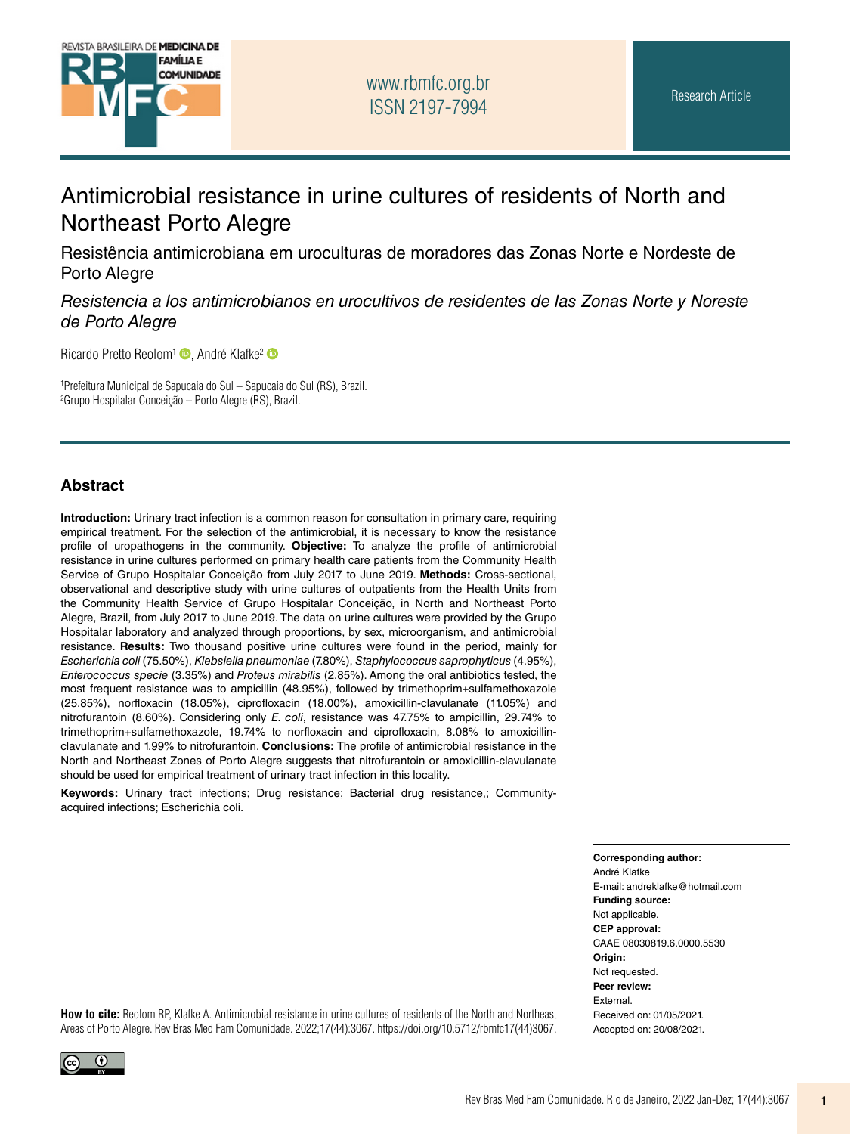

## [www.rbmfc.org.br](http://www.rbmfc.org.br) ISSN 2197-7994

# Antimicrobial resistance in urine cultures of residents of North and Northeast Porto Alegre

Resistência antimicrobiana em uroculturas de moradores das Zonas Norte e Nordeste de Porto Alegre

*Resistencia a los antimicrobianos en urocultivos de residentes de las Zonas Norte y Noreste de Porto Alegre*

Ricardo Pretto Reolom<sup>[1](https://orcid.org/0000-0001-7950-6589)</sup> <sub>(b)</sub>, André Klafke<sup>[2](https://orcid.org/0000-0003-4544-3334)</sup> (b)

1 Prefeitura Municipal de Sapucaia do Sul – Sapucaia do Sul (RS), Brazil. 2 Grupo Hospitalar Conceição – Porto Alegre (RS), Brazil.

#### **Abstract**

**Introduction:** Urinary tract infection is a common reason for consultation in primary care, requiring empirical treatment. For the selection of the antimicrobial, it is necessary to know the resistance profile of uropathogens in the community. **Objective:** To analyze the profile of antimicrobial resistance in urine cultures performed on primary health care patients from the Community Health Service of Grupo Hospitalar Conceição from July 2017 to June 2019. **Methods:** Cross-sectional, observational and descriptive study with urine cultures of outpatients from the Health Units from the Community Health Service of Grupo Hospitalar Conceição, in North and Northeast Porto Alegre, Brazil, from July 2017 to June 2019. The data on urine cultures were provided by the Grupo Hospitalar laboratory and analyzed through proportions, by sex, microorganism, and antimicrobial resistance. **Results:** Two thousand positive urine cultures were found in the period, mainly for *Escherichia coli* (75.50%), *Klebsiella pneumoniae* (7.80%), *Staphylococcus saprophyticus* (4.95%), *Enterococcus specie* (3.35%) and *Proteus mirabilis* (2.85%). Among the oral antibiotics tested, the most frequent resistance was to ampicillin (48.95%), followed by trimethoprim+sulfamethoxazole (25.85%), norfloxacin (18.05%), ciprofloxacin (18.00%), amoxicillin-clavulanate (11.05%) and nitrofurantoin (8.60%). Considering only *E. coli*, resistance was 47.75% to ampicillin, 29.74% to trimethoprim+sulfamethoxazole, 19.74% to norfloxacin and ciprofloxacin, 8.08% to amoxicillinclavulanate and 1.99% to nitrofurantoin. **Conclusions:** The profile of antimicrobial resistance in the North and Northeast Zones of Porto Alegre suggests that nitrofurantoin or amoxicillin-clavulanate should be used for empirical treatment of urinary tract infection in this locality.

**Keywords:** Urinary tract infections; Drug resistance; Bacterial drug resistance,; Communityacquired infections; Escherichia coli.

**Corresponding author:**

André Klafke E-mail: [andreklafke@hotmail.com](mailto:andreklafke@hotmail.com) **Funding source:** Not applicable. **CEP approval:** CAAE 08030819.6.0000.5530 **Origin:** Not requested. **Peer review:** External. Received on: 01/05/2021. Accepted on: 20/08/2021.

**How to cite:** Reolom RP, Klafke A. Antimicrobial resistance in urine cultures of residents of the North and Northeast Areas of Porto Alegre. Rev Bras Med Fam Comunidade. 2022;17(44):3067. [https://doi.org/10.5712/rbmfc17\(44\)3067.](https://doi.org/10.5712/rbmfc17(44)3067)

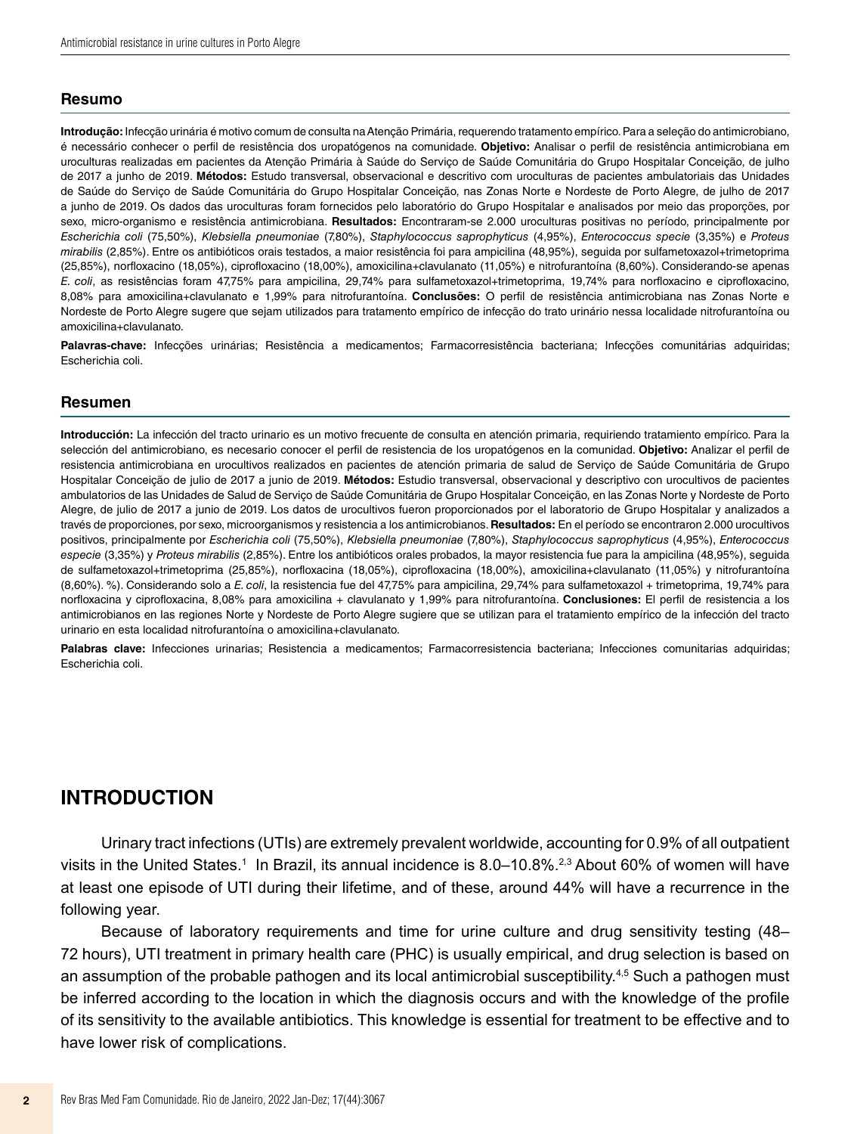#### **Resumo**

**Introdução:** Infecção urinária é motivo comum de consulta na Atenção Primária, requerendo tratamento empírico. Para a seleção do antimicrobiano, é necessário conhecer o perfil de resistência dos uropatógenos na comunidade. **Objetivo:** Analisar o perfil de resistência antimicrobiana em uroculturas realizadas em pacientes da Atenção Primária à Saúde do Serviço de Saúde Comunitária do Grupo Hospitalar Conceição, de julho de 2017 a junho de 2019. **Métodos:** Estudo transversal, observacional e descritivo com uroculturas de pacientes ambulatoriais das Unidades de Saúde do Serviço de Saúde Comunitária do Grupo Hospitalar Conceição, nas Zonas Norte e Nordeste de Porto Alegre, de julho de 2017 a junho de 2019. Os dados das uroculturas foram fornecidos pelo laboratório do Grupo Hospitalar e analisados por meio das proporções, por sexo, micro-organismo e resistência antimicrobiana. **Resultados:** Encontraram-se 2.000 uroculturas positivas no período, principalmente por *Escherichia coli* (75,50%), *Klebsiella pneumoniae* (7,80%), *Staphylococcus saprophyticus* (4,95%), *Enterococcus specie* (3,35%) e *Proteus mirabilis* (2,85%). Entre os antibióticos orais testados, a maior resistência foi para ampicilina (48,95%), seguida por sulfametoxazol+trimetoprima (25,85%), norfloxacino (18,05%), ciprofloxacino (18,00%), amoxicilina+clavulanato (11,05%) e nitrofurantoína (8,60%). Considerando-se apenas *E. coli*, as resistências foram 47,75% para ampicilina, 29,74% para sulfametoxazol+trimetoprima, 19,74% para norfloxacino e ciprofloxacino, 8,08% para amoxicilina+clavulanato e 1,99% para nitrofurantoína. **Conclusões:** O perfil de resistência antimicrobiana nas Zonas Norte e Nordeste de Porto Alegre sugere que sejam utilizados para tratamento empírico de infecção do trato urinário nessa localidade nitrofurantoína ou amoxicilina+clavulanato.

Palavras-chave: Infecções urinárias; Resistência a medicamentos; Farmacorresistência bacteriana; Infecções comunitárias adquiridas; Escherichia coli.

#### **Resumen**

**Introducción:** La infección del tracto urinario es un motivo frecuente de consulta en atención primaria, requiriendo tratamiento empírico. Para la selección del antimicrobiano, es necesario conocer el perfil de resistencia de los uropatógenos en la comunidad. **Objetivo:** Analizar el perfil de resistencia antimicrobiana en urocultivos realizados en pacientes de atención primaria de salud de Serviço de Saúde Comunitária de Grupo Hospitalar Conceição de julio de 2017 a junio de 2019. **Métodos:** Estudio transversal, observacional y descriptivo con urocultivos de pacientes ambulatorios de las Unidades de Salud de Serviço de Saúde Comunitária de Grupo Hospitalar Conceição, en las Zonas Norte y Nordeste de Porto Alegre, de julio de 2017 a junio de 2019. Los datos de urocultivos fueron proporcionados por el laboratorio de Grupo Hospitalar y analizados a través de proporciones, por sexo, microorganismos y resistencia a los antimicrobianos. **Resultados:** En el período se encontraron 2.000 urocultivos positivos, principalmente por *Escherichia coli* (75,50%), *Klebsiella pneumoniae* (7,80%), *Staphylococcus saprophyticus* (4,95%), *Enterococcus especie* (3,35%) y *Proteus mirabilis* (2,85%). Entre los antibióticos orales probados, la mayor resistencia fue para la ampicilina (48,95%), seguida de sulfametoxazol+trimetoprima (25,85%), norfloxacina (18,05%), ciprofloxacina (18,00%), amoxicilina+clavulanato (11,05%) y nitrofurantoína (8,60%). %). Considerando solo a *E. coli*, la resistencia fue del 47,75% para ampicilina, 29,74% para sulfametoxazol + trimetoprima, 19,74% para norfloxacina y ciprofloxacina, 8,08% para amoxicilina + clavulanato y 1,99% para nitrofurantoína. **Conclusiones:** El perfil de resistencia a los antimicrobianos en las regiones Norte y Nordeste de Porto Alegre sugiere que se utilizan para el tratamiento empírico de la infección del tracto urinario en esta localidad nitrofurantoína o amoxicilina+clavulanato.

Palabras clave: Infecciones urinarias; Resistencia a medicamentos; Farmacorresistencia bacteriana; Infecciones comunitarias adquiridas; Escherichia coli.

### **INTRODUCTION**

Urinary tract infections (UTIs) are extremely prevalent worldwide, accounting for 0.9% of all outpatient visits in the United States.1 In Brazil, its annual incidence is 8.0–10.8%.<sup>2,3</sup> About 60% of women will have at least one episode of UTI during their lifetime, and of these, around 44% will have a recurrence in the following year.

Because of laboratory requirements and time for urine culture and drug sensitivity testing (48– 72 hours), UTI treatment in primary health care (PHC) is usually empirical, and drug selection is based on an assumption of the probable pathogen and its local antimicrobial susceptibility.4,5 Such a pathogen must be inferred according to the location in which the diagnosis occurs and with the knowledge of the profile of its sensitivity to the available antibiotics. This knowledge is essential for treatment to be effective and to have lower risk of complications.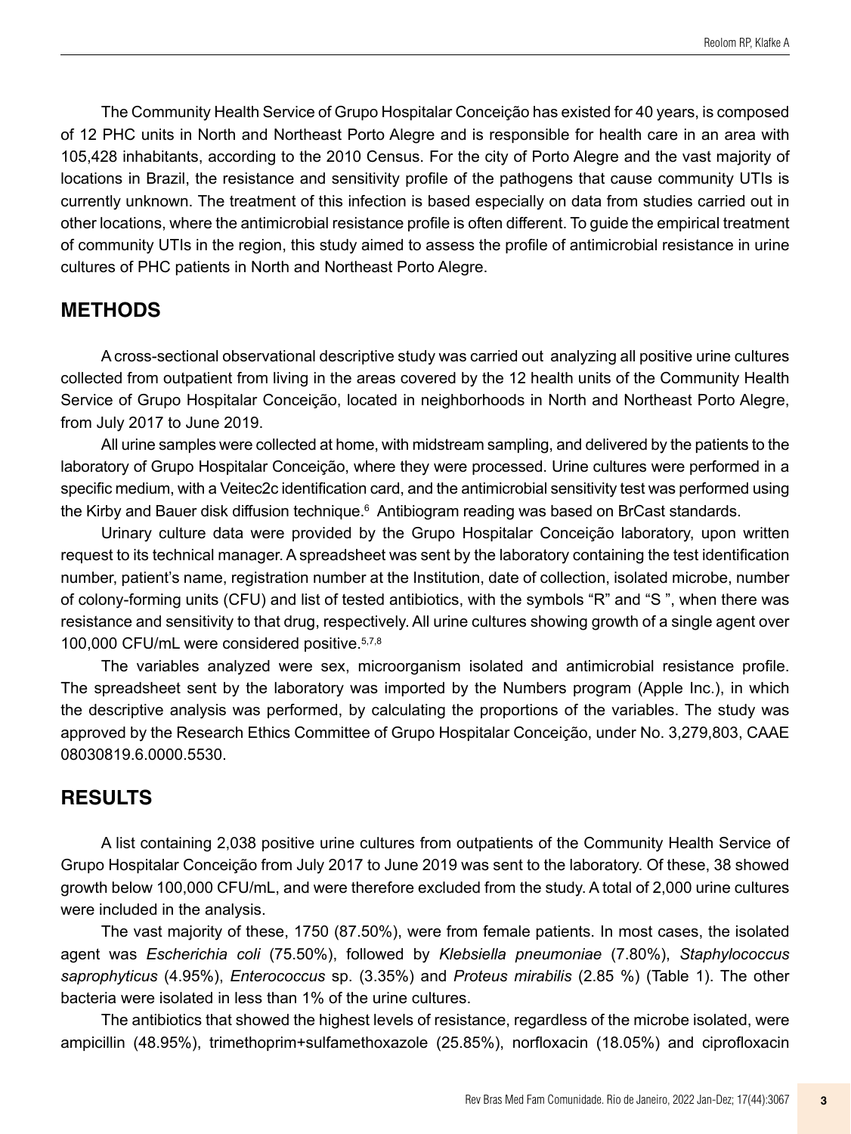The Community Health Service of Grupo Hospitalar Conceição has existed for 40 years, is composed of 12 PHC units in North and Northeast Porto Alegre and is responsible for health care in an area with 105,428 inhabitants, according to the 2010 Census. For the city of Porto Alegre and the vast majority of locations in Brazil, the resistance and sensitivity profile of the pathogens that cause community UTIs is currently unknown. The treatment of this infection is based especially on data from studies carried out in other locations, where the antimicrobial resistance profile is often different. To guide the empirical treatment of community UTIs in the region, this study aimed to assess the profile of antimicrobial resistance in urine cultures of PHC patients in North and Northeast Porto Alegre.

### **METHODS**

A cross-sectional observational descriptive study was carried out analyzing all positive urine cultures collected from outpatient from living in the areas covered by the 12 health units of the Community Health Service of Grupo Hospitalar Conceição, located in neighborhoods in North and Northeast Porto Alegre, from July 2017 to June 2019.

All urine samples were collected at home, with midstream sampling, and delivered by the patients to the laboratory of Grupo Hospitalar Conceição, where they were processed. Urine cultures were performed in a specific medium, with a Veitec2c identification card, and the antimicrobial sensitivity test was performed using the Kirby and Bauer disk diffusion technique. $^{\rm 6}$  Antibiogram reading was based on BrCast standards.

Urinary culture data were provided by the Grupo Hospitalar Conceição laboratory, upon written request to its technical manager. A spreadsheet was sent by the laboratory containing the test identification number, patient's name, registration number at the Institution, date of collection, isolated microbe, number of colony-forming units (CFU) and list of tested antibiotics, with the symbols "R" and "S ", when there was resistance and sensitivity to that drug, respectively. All urine cultures showing growth of a single agent over 100,000 CFU/mL were considered positive.5,7,8

The variables analyzed were sex, microorganism isolated and antimicrobial resistance profile. The spreadsheet sent by the laboratory was imported by the Numbers program (Apple Inc.), in which the descriptive analysis was performed, by calculating the proportions of the variables. The study was approved by the Research Ethics Committee of Grupo Hospitalar Conceição, under No. 3,279,803, CAAE 08030819.6.0000.5530.

### **RESULTS**

A list containing 2,038 positive urine cultures from outpatients of the Community Health Service of Grupo Hospitalar Conceição from July 2017 to June 2019 was sent to the laboratory. Of these, 38 showed growth below 100,000 CFU/mL, and were therefore excluded from the study. A total of 2,000 urine cultures were included in the analysis.

The vast majority of these, 1750 (87.50%), were from female patients. In most cases, the isolated agent was *Escherichia coli* (75.50%), followed by *Klebsiella pneumoniae* (7.80%), *Staphylococcus saprophyticus* (4.95%), *Enterococcus* sp. (3.35%) and *Proteus mirabilis* (2.85 %) (Table 1). The other bacteria were isolated in less than 1% of the urine cultures.

The antibiotics that showed the highest levels of resistance, regardless of the microbe isolated, were ampicillin (48.95%), trimethoprim+sulfamethoxazole (25.85%), norfloxacin (18.05%) and ciprofloxacin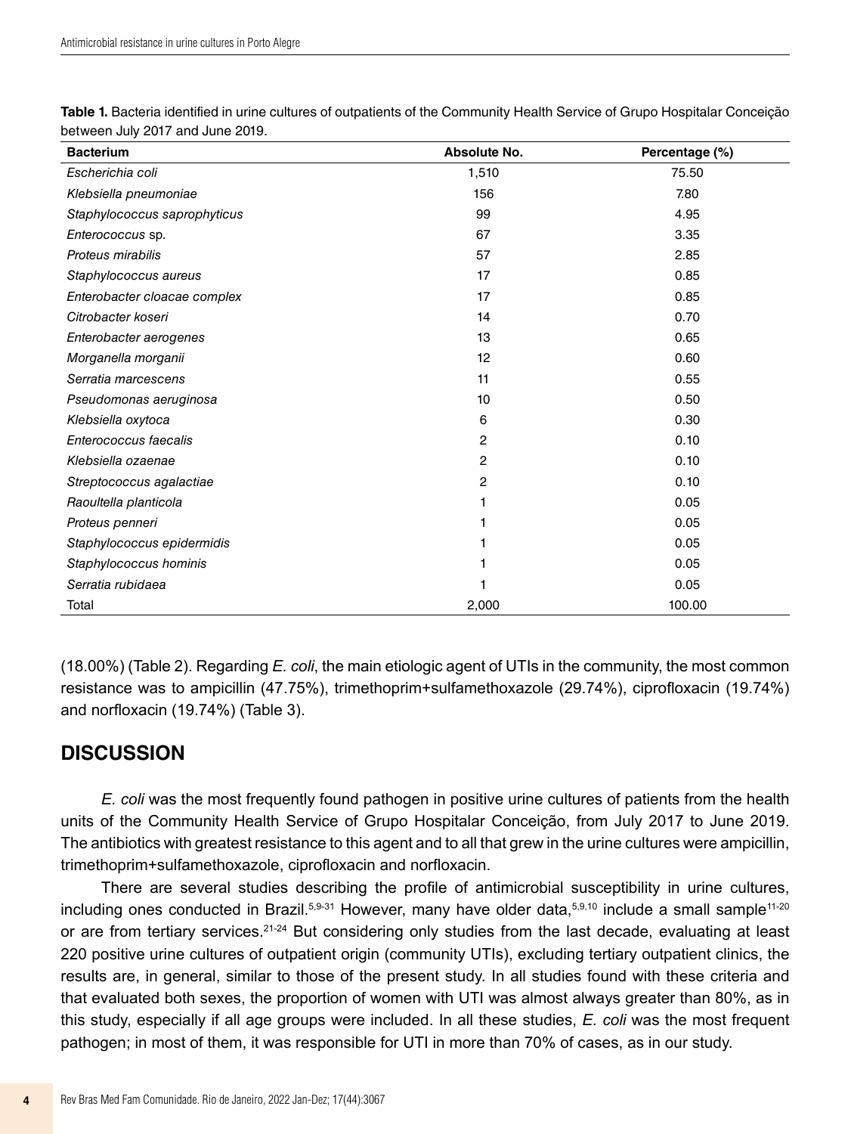| <b>Bacterium</b>             | Absolute No. | Percentage (%) |
|------------------------------|--------------|----------------|
| Escherichia coli             | 1,510        | 75.50          |
| Klebsiella pneumoniae        | 156          | 7.80           |
| Staphylococcus saprophyticus | 99           | 4.95           |
| Enterococcus sp.             | 67           | 3.35           |
| Proteus mirabilis            | 57           | 2.85           |
| Staphylococcus aureus        | 17           | 0.85           |
| Enterobacter cloacae complex | 17           | 0.85           |
| Citrobacter koseri           | 14           | 0.70           |
| Enterobacter aerogenes       | 13           | 0.65           |
| Morganella morganii          | 12           | 0.60           |
| Serratia marcescens          | 11           | 0.55           |
| Pseudomonas aeruginosa       | 10           | 0.50           |
| Klebsiella oxytoca           | 6            | 0.30           |
| Enterococcus faecalis        | 2            | 0.10           |
| Klebsiella ozaenae           | 2            | 0.10           |
| Streptococcus agalactiae     | 2            | 0.10           |
| Raoultella planticola        | 1            | 0.05           |
| Proteus penneri              |              | 0.05           |
| Staphylococcus epidermidis   |              | 0.05           |
| Staphylococcus hominis       |              | 0.05           |
| Serratia rubidaea            |              | 0.05           |
| Total                        | 2,000        | 100.00         |

**Table 1.** Bacteria identified in urine cultures of outpatients of the Community Health Service of Grupo Hospitalar Conceição between July 2017 and June 2019.

(18.00%) (Table 2). Regarding *E. coli*, the main etiologic agent of UTIs in the community, the most common resistance was to ampicillin (47.75%), trimethoprim+sulfamethoxazole (29.74%), ciprofloxacin (19.74%) and norfloxacin (19.74%) (Table 3).

## **DISCUSSION**

*E. coli* was the most frequently found pathogen in positive urine cultures of patients from the health units of the Community Health Service of Grupo Hospitalar Conceição, from July 2017 to June 2019. The antibiotics with greatest resistance to this agent and to all that grew in the urine cultures were ampicillin, trimethoprim+sulfamethoxazole, ciprofloxacin and norfloxacin.

There are several studies describing the profile of antimicrobial susceptibility in urine cultures, including ones conducted in Brazil.<sup>5,9-31</sup> However, many have older data,<sup>5,9,10</sup> include a small sample<sup>11-20</sup> or are from tertiary services.<sup>21-24</sup> But considering only studies from the last decade, evaluating at least 220 positive urine cultures of outpatient origin (community UTIs), excluding tertiary outpatient clinics, the results are, in general, similar to those of the present study. In all studies found with these criteria and that evaluated both sexes, the proportion of women with UTI was almost always greater than 80%, as in this study, especially if all age groups were included. In all these studies, *E. coli* was the most frequent pathogen; in most of them, it was responsible for UTI in more than 70% of cases, as in our study.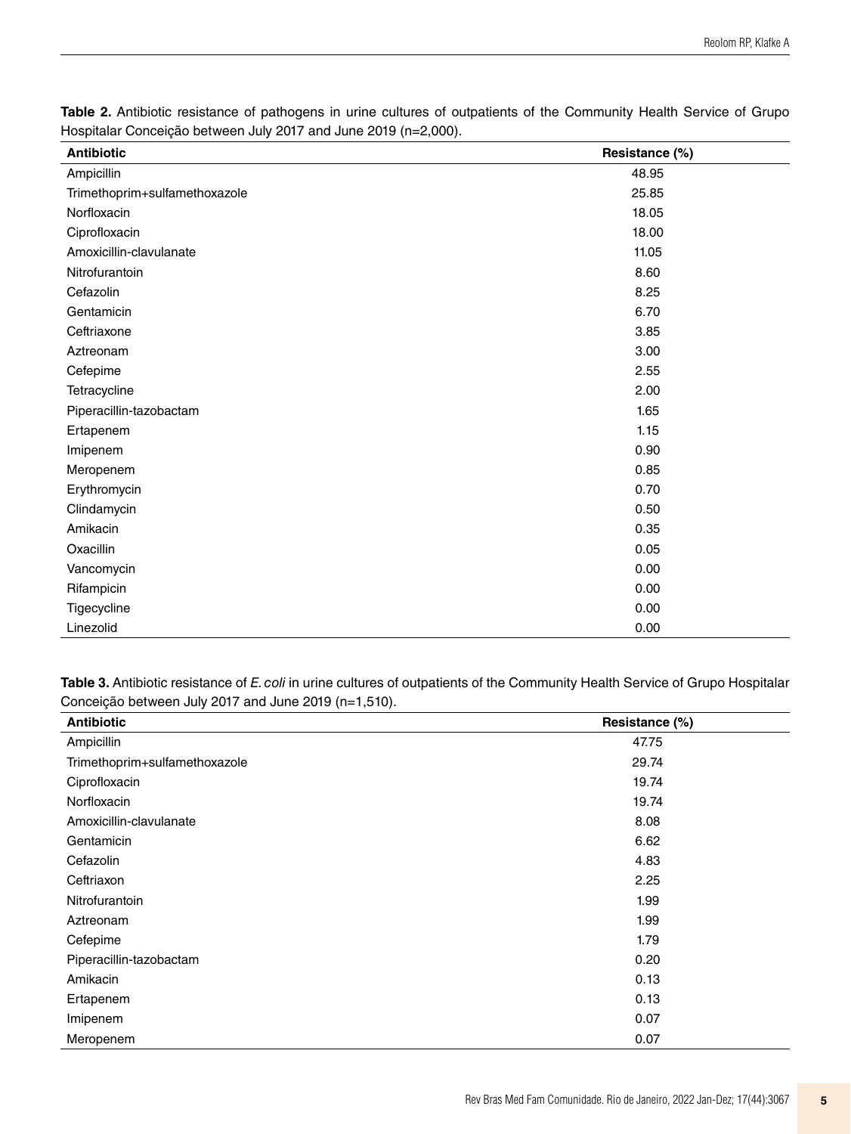| <b>Antibiotic</b>             | Resistance (%) |
|-------------------------------|----------------|
| Ampicillin                    | 48.95          |
| Trimethoprim+sulfamethoxazole | 25.85          |
| Norfloxacin                   | 18.05          |
| Ciprofloxacin                 | 18.00          |
| Amoxicillin-clavulanate       | 11.05          |
| Nitrofurantoin                | 8.60           |
| Cefazolin                     | 8.25           |
| Gentamicin                    | 6.70           |
| Ceftriaxone                   | 3.85           |
| Aztreonam                     | 3.00           |
| Cefepime                      | 2.55           |
| Tetracycline                  | 2.00           |
| Piperacillin-tazobactam       | 1.65           |
| Ertapenem                     | 1.15           |
| Imipenem                      | 0.90           |
| Meropenem                     | 0.85           |
| Erythromycin                  | 0.70           |
| Clindamycin                   | 0.50           |
| Amikacin                      | 0.35           |
| Oxacillin                     | 0.05           |
| Vancomycin                    | 0.00           |
| Rifampicin                    | 0.00           |
| Tigecycline                   | 0.00           |
| Linezolid                     | 0.00           |

**Table 2.** Antibiotic resistance of pathogens in urine cultures of outpatients of the Community Health Service of Grupo Hospitalar Conceição between July 2017 and June 2019 (n=2,000).

**Table 3.** Antibiotic resistance of *E. coli* in urine cultures of outpatients of the Community Health Service of Grupo Hospitalar Conceição between July 2017 and June 2019 (n=1,510).

| <b>Antibiotic</b>             | Resistance (%) |
|-------------------------------|----------------|
| Ampicillin                    | 47.75          |
| Trimethoprim+sulfamethoxazole | 29.74          |
| Ciprofloxacin                 | 19.74          |
| Norfloxacin                   | 19.74          |
| Amoxicillin-clavulanate       | 8.08           |
| Gentamicin                    | 6.62           |
| Cefazolin                     | 4.83           |
| Ceftriaxon                    | 2.25           |
| Nitrofurantoin                | 1.99           |
| Aztreonam                     | 1.99           |
| Cefepime                      | 1.79           |
| Piperacillin-tazobactam       | 0.20           |
| Amikacin                      | 0.13           |
| Ertapenem                     | 0.13           |
| Imipenem                      | 0.07           |
| Meropenem                     | 0.07           |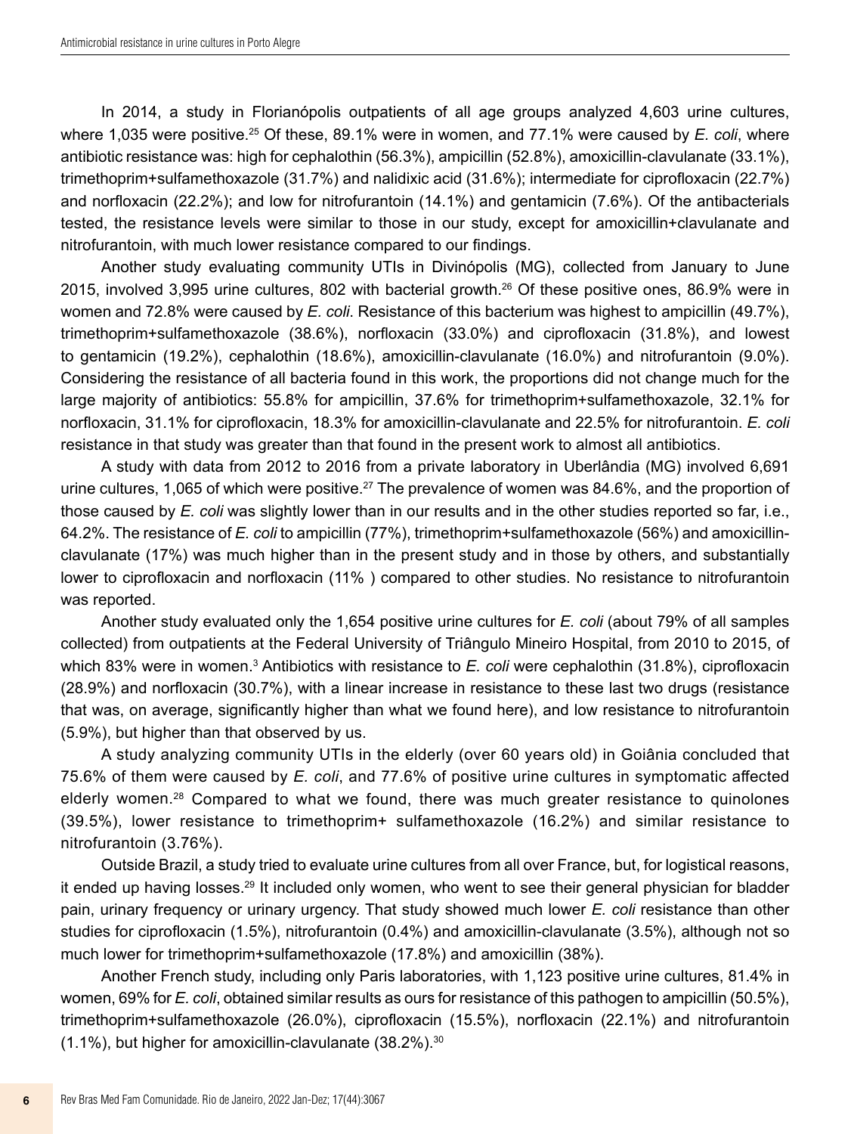In 2014, a study in Florianópolis outpatients of all age groups analyzed 4,603 urine cultures, where 1,035 were positive.25 Of these, 89.1% were in women, and 77.1% were caused by *E. coli*, where antibiotic resistance was: high for cephalothin (56.3%), ampicillin (52.8%), amoxicillin-clavulanate (33.1%), trimethoprim+sulfamethoxazole (31.7%) and nalidixic acid (31.6%); intermediate for ciprofloxacin (22.7%) and norfloxacin (22.2%); and low for nitrofurantoin (14.1%) and gentamicin (7.6%). Of the antibacterials tested, the resistance levels were similar to those in our study, except for amoxicillin+clavulanate and nitrofurantoin, with much lower resistance compared to our findings.

Another study evaluating community UTIs in Divinópolis (MG), collected from January to June 2015, involved 3,995 urine cultures, 802 with bacterial growth.26 Of these positive ones, 86.9% were in women and 72.8% were caused by *E. coli*. Resistance of this bacterium was highest to ampicillin (49.7%), trimethoprim+sulfamethoxazole (38.6%), norfloxacin (33.0%) and ciprofloxacin (31.8%), and lowest to gentamicin (19.2%), cephalothin (18.6%), amoxicillin-clavulanate (16.0%) and nitrofurantoin (9.0%). Considering the resistance of all bacteria found in this work, the proportions did not change much for the large majority of antibiotics: 55.8% for ampicillin, 37.6% for trimethoprim+sulfamethoxazole, 32.1% for norfloxacin, 31.1% for ciprofloxacin, 18.3% for amoxicillin-clavulanate and 22.5% for nitrofurantoin. *E. coli* resistance in that study was greater than that found in the present work to almost all antibiotics.

A study with data from 2012 to 2016 from a private laboratory in Uberlândia (MG) involved 6,691 urine cultures, 1,065 of which were positive.<sup>27</sup> The prevalence of women was 84.6%, and the proportion of those caused by *E. coli* was slightly lower than in our results and in the other studies reported so far, i.e., 64.2%. The resistance of *E. coli* to ampicillin (77%), trimethoprim+sulfamethoxazole (56%) and amoxicillinclavulanate (17%) was much higher than in the present study and in those by others, and substantially lower to ciprofloxacin and norfloxacin (11% ) compared to other studies. No resistance to nitrofurantoin was reported.

Another study evaluated only the 1,654 positive urine cultures for *E. coli* (about 79% of all samples collected) from outpatients at the Federal University of Triângulo Mineiro Hospital, from 2010 to 2015, of which 83% were in women.<sup>3</sup> Antibiotics with resistance to *E. coli* were cephalothin (31.8%), ciprofloxacin (28.9%) and norfloxacin (30.7%), with a linear increase in resistance to these last two drugs (resistance that was, on average, significantly higher than what we found here), and low resistance to nitrofurantoin (5.9%), but higher than that observed by us.

A study analyzing community UTIs in the elderly (over 60 years old) in Goiânia concluded that 75.6% of them were caused by *E. coli*, and 77.6% of positive urine cultures in symptomatic affected elderly women.28 Compared to what we found, there was much greater resistance to quinolones (39.5%), lower resistance to trimethoprim+ sulfamethoxazole (16.2%) and similar resistance to nitrofurantoin (3.76%).

Outside Brazil, a study tried to evaluate urine cultures from all over France, but, for logistical reasons, it ended up having losses.29 It included only women, who went to see their general physician for bladder pain, urinary frequency or urinary urgency. That study showed much lower *E. coli* resistance than other studies for ciprofloxacin (1.5%), nitrofurantoin (0.4%) and amoxicillin-clavulanate (3.5%), although not so much lower for trimethoprim+sulfamethoxazole (17.8%) and amoxicillin (38%).

Another French study, including only Paris laboratories, with 1,123 positive urine cultures, 81.4% in women, 69% for *E. coli*, obtained similar results as ours for resistance of this pathogen to ampicillin (50.5%), trimethoprim+sulfamethoxazole (26.0%), ciprofloxacin (15.5%), norfloxacin (22.1%) and nitrofurantoin  $(1.1\%)$ , but higher for amoxicillin-clavulanate  $(38.2\%)$ .<sup>30</sup>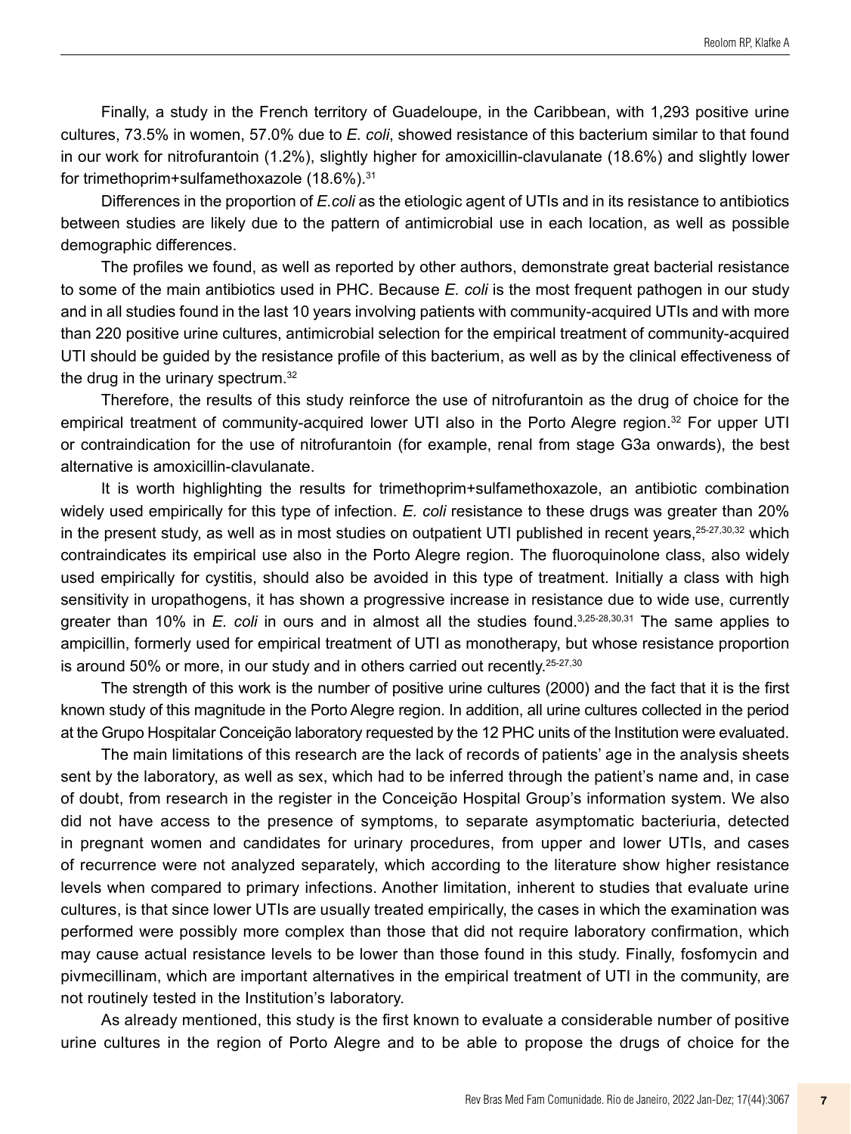Finally, a study in the French territory of Guadeloupe, in the Caribbean, with 1,293 positive urine cultures, 73.5% in women, 57.0% due to *E. coli*, showed resistance of this bacterium similar to that found in our work for nitrofurantoin (1.2%), slightly higher for amoxicillin-clavulanate (18.6%) and slightly lower for trimethoprim+sulfamethoxazole (18.6%).31

Differences in the proportion of *E.coli* as the etiologic agent of UTIs and in its resistance to antibiotics between studies are likely due to the pattern of antimicrobial use in each location, as well as possible demographic differences.

The profiles we found, as well as reported by other authors, demonstrate great bacterial resistance to some of the main antibiotics used in PHC. Because *E. coli* is the most frequent pathogen in our study and in all studies found in the last 10 years involving patients with community-acquired UTIs and with more than 220 positive urine cultures, antimicrobial selection for the empirical treatment of community-acquired UTI should be guided by the resistance profile of this bacterium, as well as by the clinical effectiveness of the drug in the urinary spectrum.<sup>32</sup>

Therefore, the results of this study reinforce the use of nitrofurantoin as the drug of choice for the empirical treatment of community-acquired lower UTI also in the Porto Alegre region.32 For upper UTI or contraindication for the use of nitrofurantoin (for example, renal from stage G3a onwards), the best alternative is amoxicillin-clavulanate.

It is worth highlighting the results for trimethoprim+sulfamethoxazole, an antibiotic combination widely used empirically for this type of infection. *E. coli* resistance to these drugs was greater than 20% in the present study, as well as in most studies on outpatient UTI published in recent years, <sup>25-27,30,32</sup> which contraindicates its empirical use also in the Porto Alegre region. The fluoroquinolone class, also widely used empirically for cystitis, should also be avoided in this type of treatment. Initially a class with high sensitivity in uropathogens, it has shown a progressive increase in resistance due to wide use, currently greater than 10% in *E. coli* in ours and in almost all the studies found.3,25-28,30,31 The same applies to ampicillin, formerly used for empirical treatment of UTI as monotherapy, but whose resistance proportion is around 50% or more, in our study and in others carried out recently.<sup>25-27,30</sup>

The strength of this work is the number of positive urine cultures (2000) and the fact that it is the first known study of this magnitude in the Porto Alegre region. In addition, all urine cultures collected in the period at the Grupo Hospitalar Conceição laboratory requested by the 12 PHC units of the Institution were evaluated.

The main limitations of this research are the lack of records of patients' age in the analysis sheets sent by the laboratory, as well as sex, which had to be inferred through the patient's name and, in case of doubt, from research in the register in the Conceição Hospital Group's information system. We also did not have access to the presence of symptoms, to separate asymptomatic bacteriuria, detected in pregnant women and candidates for urinary procedures, from upper and lower UTIs, and cases of recurrence were not analyzed separately, which according to the literature show higher resistance levels when compared to primary infections. Another limitation, inherent to studies that evaluate urine cultures, is that since lower UTIs are usually treated empirically, the cases in which the examination was performed were possibly more complex than those that did not require laboratory confirmation, which may cause actual resistance levels to be lower than those found in this study. Finally, fosfomycin and pivmecillinam, which are important alternatives in the empirical treatment of UTI in the community, are not routinely tested in the Institution's laboratory.

As already mentioned, this study is the first known to evaluate a considerable number of positive urine cultures in the region of Porto Alegre and to be able to propose the drugs of choice for the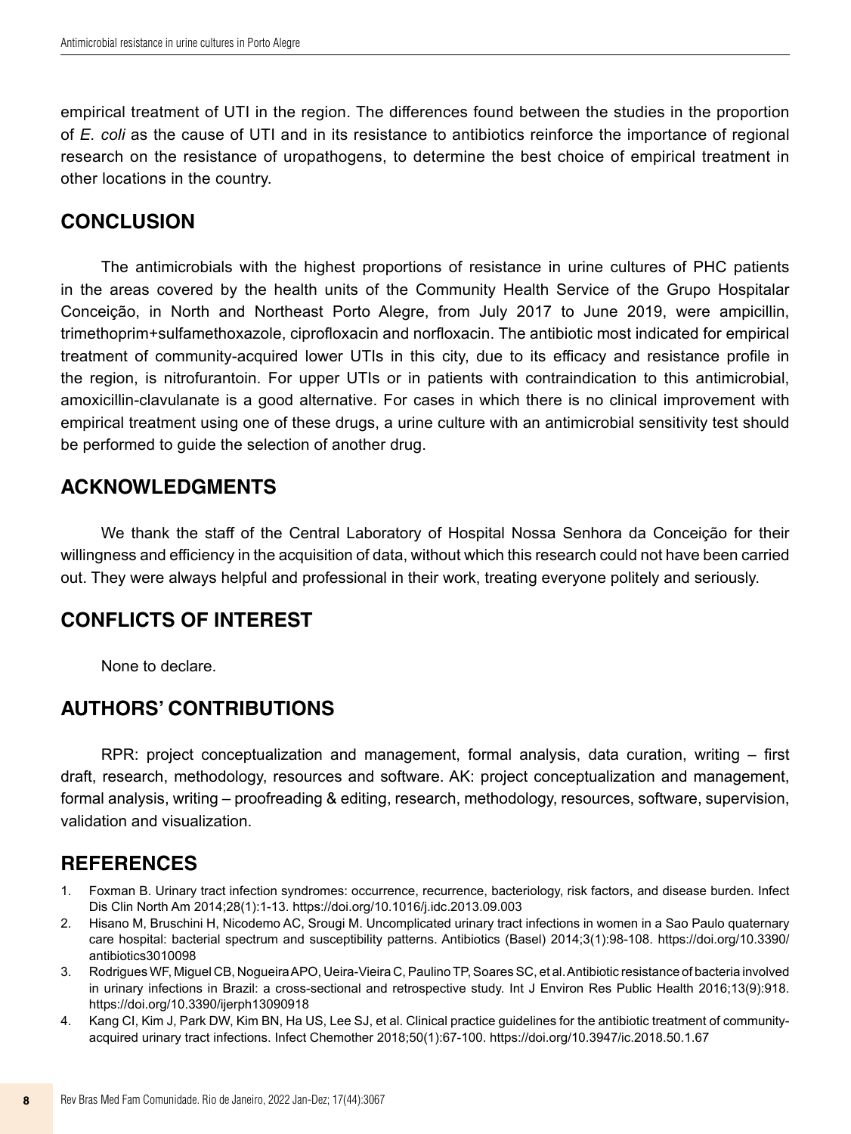empirical treatment of UTI in the region. The differences found between the studies in the proportion of *E. coli* as the cause of UTI and in its resistance to antibiotics reinforce the importance of regional research on the resistance of uropathogens, to determine the best choice of empirical treatment in other locations in the country.

## **CONCLUSION**

The antimicrobials with the highest proportions of resistance in urine cultures of PHC patients in the areas covered by the health units of the Community Health Service of the Grupo Hospitalar Conceição, in North and Northeast Porto Alegre, from July 2017 to June 2019, were ampicillin, trimethoprim+sulfamethoxazole, ciprofloxacin and norfloxacin. The antibiotic most indicated for empirical treatment of community-acquired lower UTIs in this city, due to its efficacy and resistance profile in the region, is nitrofurantoin. For upper UTIs or in patients with contraindication to this antimicrobial, amoxicillin-clavulanate is a good alternative. For cases in which there is no clinical improvement with empirical treatment using one of these drugs, a urine culture with an antimicrobial sensitivity test should be performed to guide the selection of another drug.

## **ACKNOWLEDGMENTS**

We thank the staff of the Central Laboratory of Hospital Nossa Senhora da Conceição for their willingness and efficiency in the acquisition of data, without which this research could not have been carried out. They were always helpful and professional in their work, treating everyone politely and seriously.

## **CONFLICTS OF INTEREST**

None to declare.

## **AUTHORS' CONTRIBUTIONS**

RPR: project conceptualization and management, formal analysis, data curation, writing – first draft, research, methodology, resources and software. AK: project conceptualization and management, formal analysis, writing – proofreading & editing, research, methodology, resources, software, supervision, validation and visualization.

## **REFERENCES**

- 1. Foxman B. Urinary tract infection syndromes: occurrence, recurrence, bacteriology, risk factors, and disease burden. Infect Dis Clin North Am 2014;28(1):1-13. <https://doi.org/10.1016/j.idc.2013.09.003>
- 2. Hisano M, Bruschini H, Nicodemo AC, Srougi M. Uncomplicated urinary tract infections in women in a Sao Paulo quaternary care hospital: bacterial spectrum and susceptibility patterns. Antibiotics (Basel) 2014;3(1):98-108. [https://doi.org/10.3390/](https://doi.org/10.3390/antibiotics3010098) [antibiotics3010098](https://doi.org/10.3390/antibiotics3010098)
- 3. Rodrigues WF, Miguel CB, Nogueira APO, Ueira-Vieira C, Paulino TP, Soares SC, et al. Antibiotic resistance of bacteria involved in urinary infections in Brazil: a cross-sectional and retrospective study. Int J Environ Res Public Health 2016;13(9):918. <https://doi.org/10.3390/ijerph13090918>
- 4. Kang CI, Kim J, Park DW, Kim BN, Ha US, Lee SJ, et al. Clinical practice guidelines for the antibiotic treatment of communityacquired urinary tract infections. Infect Chemother 2018;50(1):67-100. <https://doi.org/10.3947/ic.2018.50.1.67>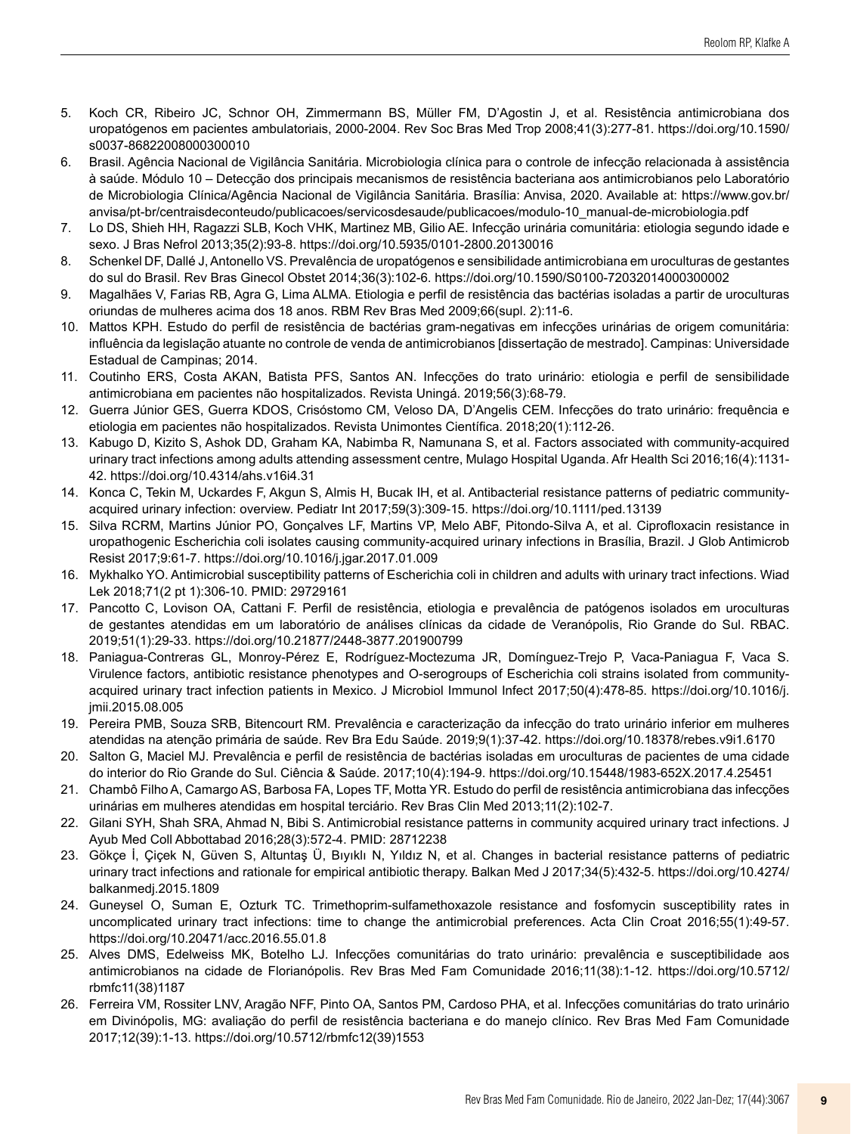- 5. Koch CR, Ribeiro JC, Schnor OH, Zimmermann BS, Müller FM, D'Agostin J, et al. Resistência antimicrobiana dos uropatógenos em pacientes ambulatoriais, 2000-2004. Rev Soc Bras Med Trop 2008;41(3):277-81. [https://doi.org/10.1590/](https://doi.org/10.1590/s0037-86822008000300010) [s0037-86822008000300010](https://doi.org/10.1590/s0037-86822008000300010)
- 6. Brasil. Agência Nacional de Vigilância Sanitária. Microbiologia clínica para o controle de infecção relacionada à assistência à saúde. Módulo 10 – Detecção dos principais mecanismos de resistência bacteriana aos antimicrobianos pelo Laboratório de Microbiologia Clínica/Agência Nacional de Vigilância Sanitária. Brasília: Anvisa, 2020. Available at: [https://www.gov.br/](https://www.gov.br/anvisa/pt-br/centraisdeconteudo/publicacoes/servicosdesaude/publicacoes/modulo-10_manual-de-microbiologia.pdf) [anvisa/pt-br/centraisdeconteudo/publicacoes/servicosdesaude/publicacoes/modulo-10\\_manual-de-microbiologia.pdf](https://www.gov.br/anvisa/pt-br/centraisdeconteudo/publicacoes/servicosdesaude/publicacoes/modulo-10_manual-de-microbiologia.pdf)
- 7. Lo DS, Shieh HH, Ragazzi SLB, Koch VHK, Martinez MB, Gilio AE. Infecção urinária comunitária: etiologia segundo idade e sexo. J Bras Nefrol 2013;35(2):93-8. <https://doi.org/10.5935/0101-2800.20130016>
- 8. Schenkel DF, Dallé J, Antonello VS. Prevalência de uropatógenos e sensibilidade antimicrobiana em uroculturas de gestantes do sul do Brasil. Rev Bras Ginecol Obstet 2014;36(3):102-6.<https://doi.org/10.1590/S0100-72032014000300002>
- 9. Magalhães V, Farias RB, Agra G, Lima ALMA. Etiologia e perfil de resistência das bactérias isoladas a partir de uroculturas oriundas de mulheres acima dos 18 anos. RBM Rev Bras Med 2009;66(supl. 2):11-6.
- 10. Mattos KPH. Estudo do perfil de resistência de bactérias gram-negativas em infecções urinárias de origem comunitária: influência da legislação atuante no controle de venda de antimicrobianos [dissertação de mestrado]. Campinas: Universidade Estadual de Campinas; 2014.
- 11. Coutinho ERS, Costa AKAN, Batista PFS, Santos AN. Infecções do trato urinário: etiologia e perfil de sensibilidade antimicrobiana em pacientes não hospitalizados. Revista Uningá. 2019;56(3):68-79.
- 12. Guerra Júnior GES, Guerra KDOS, Crisóstomo CM, Veloso DA, D'Angelis CEM. Infecções do trato urinário: frequência e etiologia em pacientes não hospitalizados. Revista Unimontes Científica. 2018;20(1):112-26.
- 13. Kabugo D, Kizito S, Ashok DD, Graham KA, Nabimba R, Namunana S, et al. Factors associated with community-acquired urinary tract infections among adults attending assessment centre, Mulago Hospital Uganda. Afr Health Sci 2016;16(4):1131- 42.<https://doi.org/10.4314/ahs.v16i4.31>
- 14. Konca C, Tekin M, Uckardes F, Akgun S, Almis H, Bucak IH, et al. Antibacterial resistance patterns of pediatric communityacquired urinary infection: overview. Pediatr Int 2017;59(3):309-15. <https://doi.org/10.1111/ped.13139>
- 15. Silva RCRM, Martins Júnior PO, Gonçalves LF, Martins VP, Melo ABF, Pitondo-Silva A, et al. Ciprofloxacin resistance in uropathogenic Escherichia coli isolates causing community-acquired urinary infections in Brasília, Brazil. J Glob Antimicrob Resist 2017;9:61-7. <https://doi.org/10.1016/j.jgar.2017.01.009>
- 16. Mykhalko YO. Antimicrobial susceptibility patterns of Escherichia coli in children and adults with urinary tract infections. Wiad Lek 2018;71(2 pt 1):306-10. PMID: 29729161
- 17. Pancotto C, Lovison OA, Cattani F. Perfil de resistência, etiologia e prevalência de patógenos isolados em uroculturas de gestantes atendidas em um laboratório de análises clínicas da cidade de Veranópolis, Rio Grande do Sul. RBAC. 2019;51(1):29-33.<https://doi.org/10.21877/2448-3877.201900799>
- 18. Paniagua-Contreras GL, Monroy-Pérez E, Rodríguez-Moctezuma JR, Domínguez-Trejo P, Vaca-Paniagua F, Vaca S. Virulence factors, antibiotic resistance phenotypes and O-serogroups of Escherichia coli strains isolated from communityacquired urinary tract infection patients in Mexico. J Microbiol Immunol Infect 2017;50(4):478-85. [https://doi.org/10.1016/j.](https://doi.org/10.1016/j.jmii.2015.08.005) [jmii.2015.08.005](https://doi.org/10.1016/j.jmii.2015.08.005)
- 19. Pereira PMB, Souza SRB, Bitencourt RM. Prevalência e caracterização da infecção do trato urinário inferior em mulheres atendidas na atenção primária de saúde. Rev Bra Edu Saúde. 2019;9(1):37-42. <https://doi.org/10.18378/rebes.v9i1.6170>
- 20. Salton G, Maciel MJ. Prevalência e perfil de resistência de bactérias isoladas em uroculturas de pacientes de uma cidade do interior do Rio Grande do Sul. Ciência & Saúde. 2017;10(4):194-9. <https://doi.org/10.15448/1983-652X.2017.4.25451>
- 21. Chambô Filho A, Camargo AS, Barbosa FA, Lopes TF, Motta YR. Estudo do perfil de resistência antimicrobiana das infecções urinárias em mulheres atendidas em hospital terciário. Rev Bras Clin Med 2013;11(2):102-7.
- 22. Gilani SYH, Shah SRA, Ahmad N, Bibi S. Antimicrobial resistance patterns in community acquired urinary tract infections. J Ayub Med Coll Abbottabad 2016;28(3):572-4. PMID: 28712238
- 23. Gökçe İ, Çiçek N, Güven S, Altuntaş Ü, Bıyıklı N, Yıldız N, et al. Changes in bacterial resistance patterns of pediatric urinary tract infections and rationale for empirical antibiotic therapy. Balkan Med J 2017;34(5):432-5. [https://doi.org/10.4274/](https://doi.org/10.4274/balkanmedj.2015.1809) [balkanmedj.2015.1809](https://doi.org/10.4274/balkanmedj.2015.1809)
- 24. Guneysel O, Suman E, Ozturk TC. Trimethoprim-sulfamethoxazole resistance and fosfomycin susceptibility rates in uncomplicated urinary tract infections: time to change the antimicrobial preferences. Acta Clin Croat 2016;55(1):49-57. <https://doi.org/10.20471/acc.2016.55.01.8>
- 25. Alves DMS, Edelweiss MK, Botelho LJ. Infecções comunitárias do trato urinário: prevalência e susceptibilidade aos antimicrobianos na cidade de Florianópolis. Rev Bras Med Fam Comunidade 2016;11(38):1-12. [https://doi.org/10.5712/](https://doi.org/10.5712/rbmfc11(38)1187) [rbmfc11\(38\)1187](https://doi.org/10.5712/rbmfc11(38)1187)
- 26. Ferreira VM, Rossiter LNV, Aragão NFF, Pinto OA, Santos PM, Cardoso PHA, et al. Infecções comunitárias do trato urinário em Divinópolis, MG: avaliação do perfil de resistência bacteriana e do manejo clínico. Rev Bras Med Fam Comunidade 2017;12(39):1-13. [https://doi.org/10.5712/rbmfc12\(39\)1553](https://doi.org/10.5712/rbmfc12(39)1553)